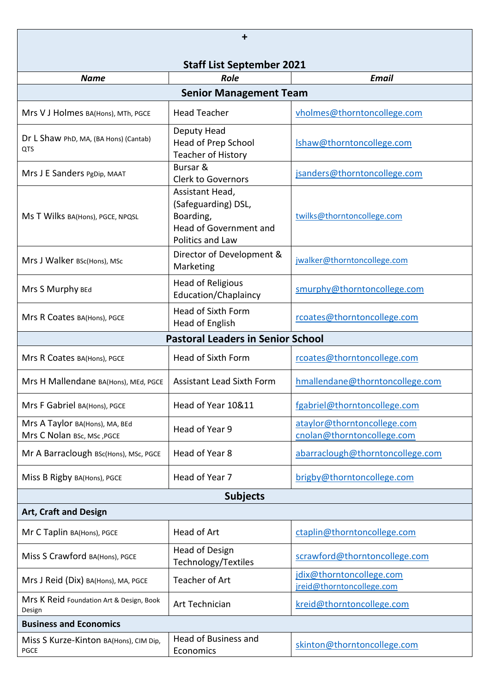| +                                                            |                                                                                                   |                                                           |  |
|--------------------------------------------------------------|---------------------------------------------------------------------------------------------------|-----------------------------------------------------------|--|
| <b>Staff List September 2021</b>                             |                                                                                                   |                                                           |  |
| <b>Name</b>                                                  | <b>Role</b>                                                                                       | <b>Email</b>                                              |  |
|                                                              | <b>Senior Management Team</b>                                                                     |                                                           |  |
| Mrs V J Holmes BA(Hons), MTh, PGCE                           | <b>Head Teacher</b>                                                                               | vholmes@thorntoncollege.com                               |  |
| Dr L Shaw PhD, MA, (BA Hons) (Cantab)<br>QTS                 | Deputy Head<br>Head of Prep School<br><b>Teacher of History</b>                                   | Ishaw@thorntoncollege.com                                 |  |
| Mrs J E Sanders PgDip, MAAT                                  | Bursar &<br><b>Clerk to Governors</b>                                                             | jsanders@thorntoncollege.com                              |  |
| Ms T Wilks BA(Hons), PGCE, NPQSL                             | Assistant Head,<br>(Safeguarding) DSL,<br>Boarding,<br>Head of Government and<br>Politics and Law | twilks@thorntoncollege.com                                |  |
| Mrs J Walker BSc(Hons), MSc                                  | Director of Development &<br>Marketing                                                            | jwalker@thorntoncollege.com                               |  |
| Mrs S Murphy BEd                                             | <b>Head of Religious</b><br>Education/Chaplaincy                                                  | smurphy@thorntoncollege.com                               |  |
| Mrs R Coates BA(Hons), PGCE                                  | <b>Head of Sixth Form</b><br>Head of English                                                      | rcoates@thorntoncollege.com                               |  |
|                                                              | <b>Pastoral Leaders in Senior School</b>                                                          |                                                           |  |
| Mrs R Coates BA(Hons), PGCE                                  | <b>Head of Sixth Form</b>                                                                         | rcoates@thorntoncollege.com                               |  |
| Mrs H Mallendane BA(Hons), MEd, PGCE                         | <b>Assistant Lead Sixth Form</b>                                                                  | hmallendane@thorntoncollege.com                           |  |
| Mrs F Gabriel BA(Hons), PGCE                                 | Head of Year 10&11                                                                                | fgabriel@thorntoncollege.com                              |  |
| Mrs A Taylor BA(Hons), MA, BEd<br>Mrs C Nolan BSc, MSc, PGCE | Head of Year 9                                                                                    | ataylor@thorntoncollege.com<br>cnolan@thorntoncollege.com |  |
| Mr A Barraclough BSc(Hons), MSc, PGCE                        | Head of Year 8                                                                                    | abarraclough@thorntoncollege.com                          |  |
| Miss B Rigby BA(Hons), PGCE                                  | Head of Year 7                                                                                    | brigby@thorntoncollege.com                                |  |
| <b>Subjects</b>                                              |                                                                                                   |                                                           |  |
| <b>Art, Craft and Design</b>                                 |                                                                                                   |                                                           |  |
| Mr C Taplin BA(Hons), PGCE                                   | Head of Art                                                                                       | ctaplin@thorntoncollege.com                               |  |
| Miss S Crawford BA(Hons), PGCE                               | <b>Head of Design</b><br>Technology/Textiles                                                      | scrawford@thorntoncollege.com                             |  |
| Mrs J Reid (Dix) BA(Hons), MA, PGCE                          | Teacher of Art                                                                                    | jdix@thorntoncollege.com<br>jreid@thorntoncollege.com     |  |
| Mrs K Reid Foundation Art & Design, Book<br>Design           | Art Technician                                                                                    | kreid@thorntoncollege.com                                 |  |
| <b>Business and Economics</b>                                |                                                                                                   |                                                           |  |
| Miss S Kurze-Kinton BA(Hons), CIM Dip,<br><b>PGCE</b>        | Head of Business and<br>Economics                                                                 | skinton@thorntoncollege.com                               |  |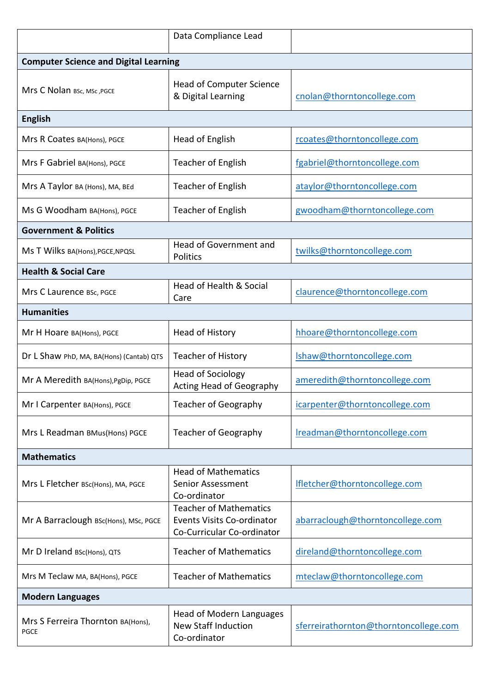|                                                  | Data Compliance Lead                                                                      |                                       |
|--------------------------------------------------|-------------------------------------------------------------------------------------------|---------------------------------------|
| <b>Computer Science and Digital Learning</b>     |                                                                                           |                                       |
| Mrs C Nolan BSc, MSc, PGCE                       | Head of Computer Science<br>& Digital Learning                                            | cnolan@thorntoncollege.com            |
| <b>English</b>                                   |                                                                                           |                                       |
| Mrs R Coates BA(Hons), PGCE                      | Head of English                                                                           | rcoates@thorntoncollege.com           |
| Mrs F Gabriel BA(Hons), PGCE                     | <b>Teacher of English</b>                                                                 | fgabriel@thorntoncollege.com          |
| Mrs A Taylor BA (Hons), MA, BEd                  | <b>Teacher of English</b>                                                                 | ataylor@thorntoncollege.com           |
| Ms G Woodham BA(Hons), PGCE                      | <b>Teacher of English</b>                                                                 | gwoodham@thorntoncollege.com          |
| <b>Government &amp; Politics</b>                 |                                                                                           |                                       |
| Ms T Wilks BA(Hons), PGCE, NPQSL                 | Head of Government and<br>Politics                                                        | twilks@thorntoncollege.com            |
| <b>Health &amp; Social Care</b>                  |                                                                                           |                                       |
| Mrs C Laurence BSc, PGCE                         | Head of Health & Social<br>Care                                                           | claurence@thorntoncollege.com         |
| <b>Humanities</b>                                |                                                                                           |                                       |
| Mr H Hoare BA(Hons), PGCE                        | <b>Head of History</b>                                                                    | hhoare@thorntoncollege.com            |
| Dr L Shaw PhD, MA, BA(Hons) (Cantab) QTS         | <b>Teacher of History</b>                                                                 | Ishaw@thorntoncollege.com             |
| Mr A Meredith BA(Hons), PgDip, PGCE              | <b>Head of Sociology</b><br>Acting Head of Geography                                      | ameredith@thorntoncollege.com         |
| Mr I Carpenter BA(Hons), PGCE                    | <b>Teacher of Geography</b>                                                               | icarpenter@thorntoncollege.com        |
| Mrs L Readman BMus(Hons) PGCE                    | Teacher of Geography                                                                      | Ireadman@thorntoncollege.com          |
| <b>Mathematics</b>                               |                                                                                           |                                       |
| Mrs L Fletcher BSc(Hons), MA, PGCE               | <b>Head of Mathematics</b><br>Senior Assessment<br>Co-ordinator                           | Ifletcher@thorntoncollege.com         |
| Mr A Barraclough BSc(Hons), MSc, PGCE            | <b>Teacher of Mathematics</b><br>Events Visits Co-ordinator<br>Co-Curricular Co-ordinator | abarraclough@thorntoncollege.com      |
| Mr D Ireland BSc(Hons), QTS                      | <b>Teacher of Mathematics</b>                                                             | direland@thorntoncollege.com          |
| Mrs M Teclaw MA, BA(Hons), PGCE                  | <b>Teacher of Mathematics</b>                                                             | mteclaw@thorntoncollege.com           |
| <b>Modern Languages</b>                          |                                                                                           |                                       |
| Mrs S Ferreira Thornton BA(Hons),<br><b>PGCE</b> | Head of Modern Languages<br><b>New Staff Induction</b><br>Co-ordinator                    | sferreirathornton@thorntoncollege.com |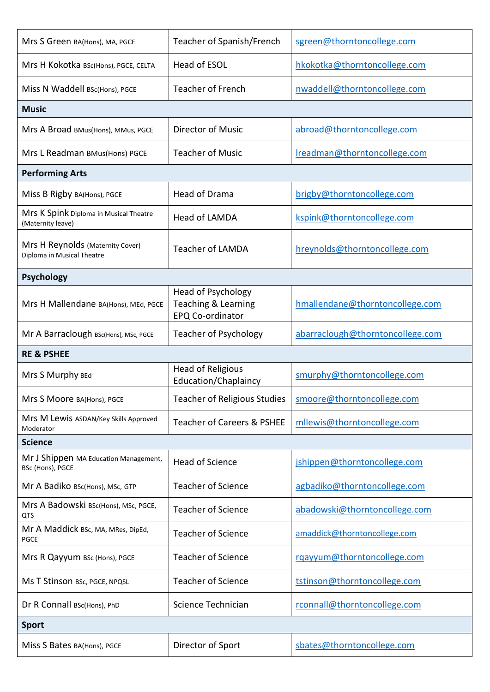| Mrs S Green BA(Hons), MA, PGCE                                 | Teacher of Spanish/French                                                       | sgreen@thorntoncollege.com       |
|----------------------------------------------------------------|---------------------------------------------------------------------------------|----------------------------------|
| Mrs H Kokotka BSc(Hons), PGCE, CELTA                           | Head of ESOL                                                                    | hkokotka@thorntoncollege.com     |
| Miss N Waddell BSc(Hons), PGCE                                 | <b>Teacher of French</b>                                                        | nwaddell@thorntoncollege.com     |
| <b>Music</b>                                                   |                                                                                 |                                  |
| Mrs A Broad BMus(Hons), MMus, PGCE                             | <b>Director of Music</b>                                                        | abroad@thorntoncollege.com       |
| Mrs L Readman BMus(Hons) PGCE                                  | <b>Teacher of Music</b>                                                         | Ireadman@thorntoncollege.com     |
| <b>Performing Arts</b>                                         |                                                                                 |                                  |
| Miss B Rigby BA(Hons), PGCE                                    | Head of Drama                                                                   | brigby@thorntoncollege.com       |
| Mrs K Spink Diploma in Musical Theatre<br>(Maternity leave)    | Head of LAMDA                                                                   | kspink@thorntoncollege.com       |
| Mrs H Reynolds (Maternity Cover)<br>Diploma in Musical Theatre | <b>Teacher of LAMDA</b>                                                         | hreynolds@thorntoncollege.com    |
| <b>Psychology</b>                                              |                                                                                 |                                  |
| Mrs H Mallendane BA(Hons), MEd, PGCE                           | <b>Head of Psychology</b><br><b>Teaching &amp; Learning</b><br>EPQ Co-ordinator | hmallendane@thorntoncollege.com  |
| Mr A Barraclough BSc(Hons), MSc, PGCE                          | <b>Teacher of Psychology</b>                                                    | abarraclough@thorntoncollege.com |
|                                                                |                                                                                 |                                  |
| <b>RE &amp; PSHEE</b>                                          |                                                                                 |                                  |
| Mrs S Murphy BEd                                               | <b>Head of Religious</b><br>Education/Chaplaincy                                | smurphy@thorntoncollege.com      |
| Mrs S Moore BA(Hons), PGCE                                     | Teacher of Religious Studies                                                    | smoore@thorntoncollege.com       |
| Mrs M Lewis ASDAN/Key Skills Approved<br>Moderator             | <b>Teacher of Careers &amp; PSHEE</b>                                           | mllewis@thorntoncollege.com      |
| <b>Science</b>                                                 |                                                                                 |                                  |
| Mr J Shippen MA Education Management,<br>BSc (Hons), PGCE      | <b>Head of Science</b>                                                          | jshippen@thorntoncollege.com     |
| Mr A Badiko BSc(Hons), MSc, GTP                                | <b>Teacher of Science</b>                                                       | agbadiko@thorntoncollege.com     |
| Mrs A Badowski BSc(Hons), MSc, PGCE,<br>QTS                    | <b>Teacher of Science</b>                                                       | abadowski@thorntoncollege.com    |
| Mr A Maddick BSc, MA, MRes, DipEd,<br><b>PGCE</b>              | <b>Teacher of Science</b>                                                       | amaddick@thorntoncollege.com     |
| Mrs R Qayyum BSc (Hons), PGCE                                  | <b>Teacher of Science</b>                                                       | rgayyum@thorntoncollege.com      |
| Ms T Stinson BSc, PGCE, NPQSL                                  | <b>Teacher of Science</b>                                                       | tstinson@thorntoncollege.com     |
| Dr R Connall BSc(Hons), PhD                                    | Science Technician                                                              | rconnall@thorntoncollege.com     |
| <b>Sport</b>                                                   |                                                                                 |                                  |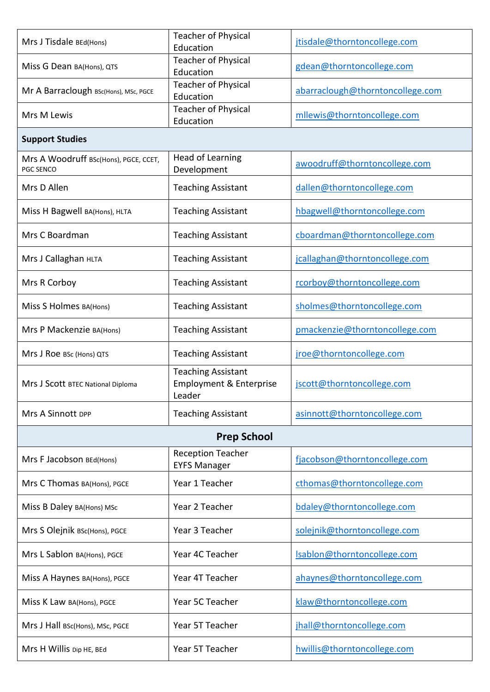| Mrs J Tisdale BEd(Hons)                            | <b>Teacher of Physical</b><br>Education                                   | jtisdale@thorntoncollege.com     |
|----------------------------------------------------|---------------------------------------------------------------------------|----------------------------------|
| Miss G Dean BA(Hons), QTS                          | <b>Teacher of Physical</b><br>Education                                   | gdean@thorntoncollege.com        |
| Mr A Barraclough BSc(Hons), MSc, PGCE              | <b>Teacher of Physical</b><br>Education                                   | abarraclough@thorntoncollege.com |
| Mrs M Lewis                                        | <b>Teacher of Physical</b><br>Education                                   | mllewis@thorntoncollege.com      |
| <b>Support Studies</b>                             |                                                                           |                                  |
| Mrs A Woodruff BSc(Hons), PGCE, CCET,<br>PGC SENCO | <b>Head of Learning</b><br>Development                                    | awoodruff@thorntoncollege.com    |
| Mrs D Allen                                        | <b>Teaching Assistant</b>                                                 | dallen@thorntoncollege.com       |
| Miss H Bagwell BA(Hons), HLTA                      | <b>Teaching Assistant</b>                                                 | hbagwell@thorntoncollege.com     |
| Mrs C Boardman                                     | <b>Teaching Assistant</b>                                                 | cboardman@thorntoncollege.com    |
| Mrs J Callaghan HLTA                               | <b>Teaching Assistant</b>                                                 | jcallaghan@thorntoncollege.com   |
| Mrs R Corboy                                       | <b>Teaching Assistant</b>                                                 | rcorboy@thorntoncollege.com      |
| Miss S Holmes BA(Hons)                             | <b>Teaching Assistant</b>                                                 | sholmes@thorntoncollege.com      |
| Mrs P Mackenzie BA(Hons)                           | <b>Teaching Assistant</b>                                                 | pmackenzie@thorntoncollege.com   |
| Mrs J Roe BSc (Hons) QTS                           | <b>Teaching Assistant</b>                                                 | jroe@thorntoncollege.com         |
| Mrs J Scott BTEC National Diploma                  | <b>Teaching Assistant</b><br><b>Employment &amp; Enterprise</b><br>Leader | jscott@thorntoncollege.com       |
| <b>Mrs A Sinnott DPP</b>                           | <b>Teaching Assistant</b>                                                 | asinnott@thorntoncollege.com     |
|                                                    | <b>Prep School</b>                                                        |                                  |
| Mrs F Jacobson BEd(Hons)                           | <b>Reception Teacher</b><br><b>EYFS Manager</b>                           | fjacobson@thorntoncollege.com    |
| Mrs C Thomas BA(Hons), PGCE                        | Year 1 Teacher                                                            | cthomas@thorntoncollege.com      |
| Miss B Daley BA(Hons) MSc                          | Year 2 Teacher                                                            | bdaley@thorntoncollege.com       |
| Mrs S Olejnik BSc(Hons), PGCE                      | Year 3 Teacher                                                            | solejnik@thorntoncollege.com     |
| Mrs L Sablon BA(Hons), PGCE                        | Year 4C Teacher                                                           | Isablon@thorntoncollege.com      |
| Miss A Haynes BA(Hons), PGCE                       | Year 4T Teacher                                                           | ahaynes@thorntoncollege.com      |
| Miss K Law BA(Hons), PGCE                          | Year 5C Teacher                                                           | klaw@thorntoncollege.com         |
| Mrs J Hall BSc(Hons), MSc, PGCE                    | Year 5T Teacher                                                           | jhall@thorntoncollege.com        |
| Mrs H Willis Dip HE, BEd                           | Year 5T Teacher                                                           | hwillis@thorntoncollege.com      |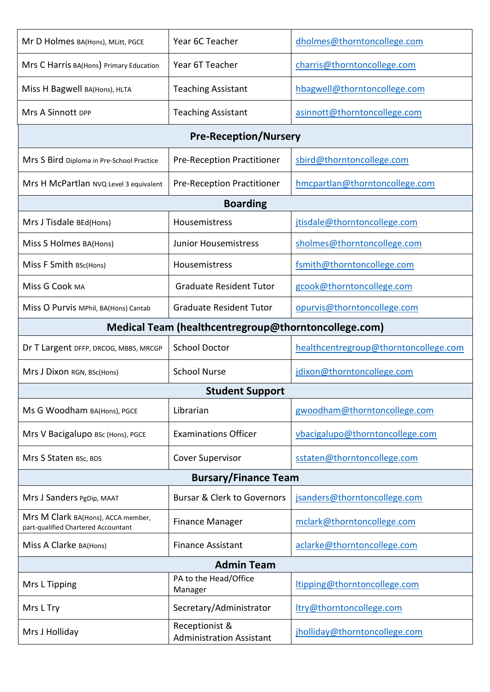| Mr D Holmes BA(Hons), MLitt, PGCE                                         | Year 6C Teacher                                   | dholmes@thorntoncollege.com           |  |
|---------------------------------------------------------------------------|---------------------------------------------------|---------------------------------------|--|
| Mrs C Harris BA(Hons) Primary Education                                   | Year 6T Teacher                                   | charris@thorntoncollege.com           |  |
| Miss H Bagwell BA(Hons), HLTA                                             | <b>Teaching Assistant</b>                         | hbagwell@thorntoncollege.com          |  |
| <b>Mrs A Sinnott DPP</b>                                                  | <b>Teaching Assistant</b>                         | asinnott@thorntoncollege.com          |  |
| <b>Pre-Reception/Nursery</b>                                              |                                                   |                                       |  |
| Mrs S Bird Diploma in Pre-School Practice                                 | Pre-Reception Practitioner                        | sbird@thorntoncollege.com             |  |
| Mrs H McPartlan NVQ Level 3 equivalent                                    | Pre-Reception Practitioner                        | hmcpartlan@thorntoncollege.com        |  |
|                                                                           | <b>Boarding</b>                                   |                                       |  |
| Mrs J Tisdale BEd(Hons)                                                   | Housemistress                                     | jtisdale@thorntoncollege.com          |  |
| Miss S Holmes BA(Hons)                                                    | <b>Junior Housemistress</b>                       | sholmes@thorntoncollege.com           |  |
| Miss F Smith BSc(Hons)                                                    | Housemistress                                     | fsmith@thorntoncollege.com            |  |
| Miss G Cook MA                                                            | <b>Graduate Resident Tutor</b>                    | gcook@thorntoncollege.com             |  |
| Miss O Purvis MPhil, BA(Hons) Cantab                                      | <b>Graduate Resident Tutor</b>                    | opurvis@thorntoncollege.com           |  |
| Medical Team (healthcentregroup@thorntoncollege.com)                      |                                                   |                                       |  |
| Dr T Largent DFFP, DRCOG, MBBS, MRCGP                                     | <b>School Doctor</b>                              | healthcentregroup@thorntoncollege.com |  |
| Mrs J Dixon RGN, BSc(Hons)                                                | <b>School Nurse</b>                               | jdixon@thorntoncollege.com            |  |
|                                                                           | <b>Student Support</b>                            |                                       |  |
| Ms G Woodham BA(Hons), PGCE                                               | Librarian                                         | gwoodham@thorntoncollege.com          |  |
| Mrs V Bacigalupo BSc (Hons), PGCE                                         | <b>Examinations Officer</b>                       | vbacigalupo@thorntoncollege.com       |  |
| Mrs S Staten BSc, BDS                                                     | <b>Cover Supervisor</b>                           | sstaten@thorntoncollege.com           |  |
| <b>Bursary/Finance Team</b>                                               |                                                   |                                       |  |
| Mrs J Sanders PgDip, MAAT                                                 | <b>Bursar &amp; Clerk to Governors</b>            | jsanders@thorntoncollege.com          |  |
| Mrs M Clark BA(Hons), ACCA member,<br>part-qualified Chartered Accountant | <b>Finance Manager</b>                            | mclark@thorntoncollege.com            |  |
| Miss A Clarke BA(Hons)                                                    | <b>Finance Assistant</b>                          | aclarke@thorntoncollege.com           |  |
| <b>Admin Team</b>                                                         |                                                   |                                       |  |
| Mrs L Tipping                                                             | PA to the Head/Office<br>Manager                  | tipping@thorntoncollege.com           |  |
| Mrs L Try                                                                 | Secretary/Administrator                           | try@thorntoncollege.com               |  |
| Mrs J Holliday                                                            | Receptionist &<br><b>Administration Assistant</b> | jholliday@thorntoncollege.com         |  |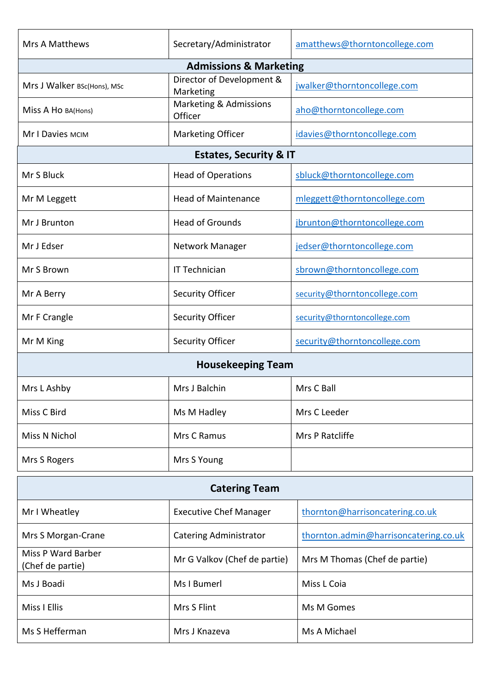| <b>Mrs A Matthews</b>                  | Secretary/Administrator                | amatthews@thorntoncollege.com         |  |
|----------------------------------------|----------------------------------------|---------------------------------------|--|
|                                        | <b>Admissions &amp; Marketing</b>      |                                       |  |
| Mrs J Walker BSc(Hons), MSc            | Director of Development &<br>Marketing | jwalker@thorntoncollege.com           |  |
| Miss A Ho BA(Hons)                     | Marketing & Admissions<br>Officer      | aho@thorntoncollege.com               |  |
| Mr I Davies MCIM                       | <b>Marketing Officer</b>               | idavies@thorntoncollege.com           |  |
| <b>Estates, Security &amp; IT</b>      |                                        |                                       |  |
| Mr S Bluck                             | <b>Head of Operations</b>              | sbluck@thorntoncollege.com            |  |
| Mr M Leggett                           | <b>Head of Maintenance</b>             | mleggett@thorntoncollege.com          |  |
| Mr J Brunton                           | <b>Head of Grounds</b>                 | jbrunton@thorntoncollege.com          |  |
| Mr J Edser                             | Network Manager                        | jedser@thorntoncollege.com            |  |
| Mr S Brown                             | IT Technician                          | sbrown@thorntoncollege.com            |  |
| Mr A Berry                             | <b>Security Officer</b>                | security@thorntoncollege.com          |  |
| Mr F Crangle                           | Security Officer                       | security@thorntoncollege.com          |  |
| Mr M King                              | Security Officer                       | security@thorntoncollege.com          |  |
| <b>Housekeeping Team</b>               |                                        |                                       |  |
| Mrs L Ashby                            | Mrs J Balchin                          | Mrs C Ball                            |  |
| Miss C Bird                            | Ms M Hadley                            | Mrs C Leeder                          |  |
| Miss N Nichol                          | Mrs C Ramus                            | Mrs P Ratcliffe                       |  |
| Mrs S Rogers                           | Mrs S Young                            |                                       |  |
| <b>Catering Team</b>                   |                                        |                                       |  |
| Mr I Wheatley                          | <b>Executive Chef Manager</b>          | thornton@harrisoncatering.co.uk       |  |
| Mrs S Morgan-Crane                     | <b>Catering Administrator</b>          | thornton.admin@harrisoncatering.co.uk |  |
| Miss P Ward Barber<br>(Chef de partie) | Mr G Valkov (Chef de partie)           | Mrs M Thomas (Chef de partie)         |  |
| Ms J Boadi                             | Ms I Bumerl                            | Miss L Coia                           |  |
| Miss I Ellis                           | Mrs S Flint                            | Ms M Gomes                            |  |
| Ms S Hefferman                         | Mrs J Knazeva                          | Ms A Michael                          |  |